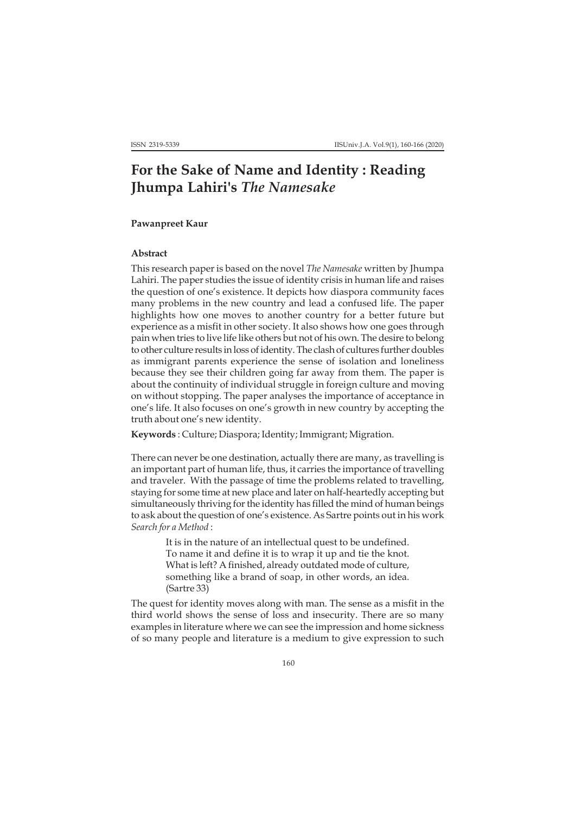## **For the Sake of Name and Identity : Reading Jhumpa Lahiri's** *The Namesake*

## **Pawanpreet Kaur**

## **Abstract**

This research paper is based on the novel *The Namesake* written by Jhumpa Lahiri. The paper studies the issue of identity crisis in human life and raises the question of one's existence. It depicts how diaspora community faces many problems in the new country and lead a confused life. The paper highlights how one moves to another country for a better future but experience as a misfit in other society. It also shows how one goes through pain when tries to live life like others but not of his own. The desire to belong to other culture results in loss of identity. The clash of cultures further doubles as immigrant parents experience the sense of isolation and loneliness because they see their children going far away from them. The paper is about the continuity of individual struggle in foreign culture and moving on without stopping. The paper analyses the importance of acceptance in one's life. It also focuses on one's growth in new country by accepting the truth about one's new identity.

**Keywords** : Culture; Diaspora; Identity; Immigrant; Migration.

There can never be one destination, actually there are many, as travelling is an important part of human life, thus, it carries the importance of travelling and traveler. With the passage of time the problems related to travelling, staying for some time at new place and later on half-heartedly accepting but simultaneously thriving for the identity has filled the mind of human beings to ask about the question of one's existence. As Sartre points out in his work *Search for a Method* :

> It is in the nature of an intellectual quest to be undefined. To name it and define it is to wrap it up and tie the knot. What is left? A finished, already outdated mode of culture, something like a brand of soap, in other words, an idea. (Sartre 33)

The quest for identity moves along with man. The sense as a misfit in the third world shows the sense of loss and insecurity. There are so many examples in literature where we can see the impression and home sickness of so many people and literature is a medium to give expression to such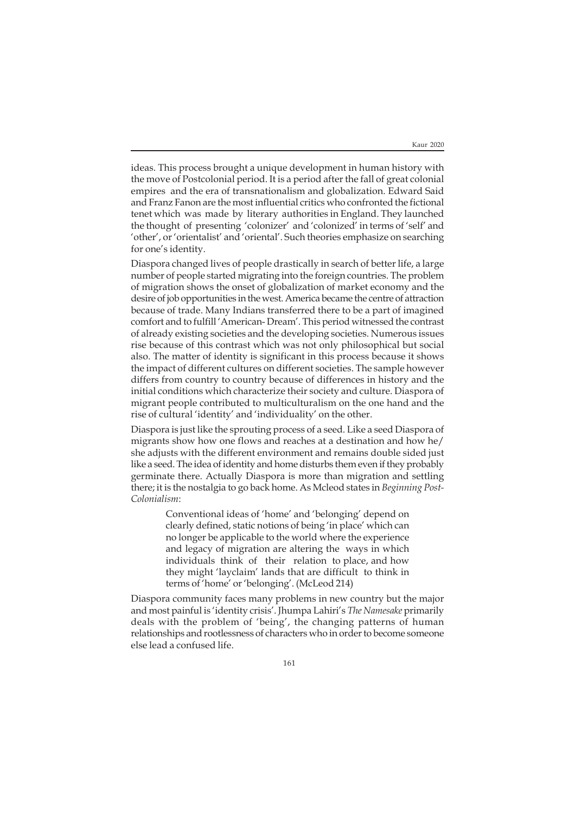ideas. This process brought a unique development in human history with the move of Postcolonial period. It is a period after the fall of great colonial empires and the era of transnationalism and globalization. Edward Said and Franz Fanon are the most influential critics who confronted the fictional tenet which was made by literary authorities in England. They launched the thought of presenting 'colonizer' and 'colonized' in terms of 'self' and 'other', or 'orientalist' and 'oriental'. Such theories emphasize on searching for one's identity.

Diaspora changed lives of people drastically in search of better life, a large number of people started migrating into the foreign countries. The problem of migration shows the onset of globalization of market economy and the desire of job opportunities in the west. America became the centre of attraction because of trade. Many Indians transferred there to be a part of imagined comfort and to fulfill 'American- Dream'. This period witnessed the contrast of already existing societies and the developing societies. Numerous issues rise because of this contrast which was not only philosophical but social also. The matter of identity is significant in this process because it shows the impact of different cultures on different societies. The sample however differs from country to country because of differences in history and the initial conditions which characterize their society and culture. Diaspora of migrant people contributed to multiculturalism on the one hand and the rise of cultural 'identity' and 'individuality' on the other.

Diaspora is just like the sprouting process of a seed. Like a seed Diaspora of migrants show how one flows and reaches at a destination and how he/ she adjusts with the different environment and remains double sided just like a seed. The idea of identity and home disturbs them even if they probably germinate there. Actually Diaspora is more than migration and settling there; it is the nostalgia to go back home. As Mcleod states in *Beginning Post-Colonialism*:

> Conventional ideas of 'home' and 'belonging' depend on clearly defined, static notions of being 'in place' which can no longer be applicable to the world where the experience and legacy of migration are altering the ways in which individuals think of their relation to place, and how they might 'layclaim' lands that are difficult to think in terms of 'home' or'belonging'. (McLeod 214)

Diaspora community faces many problems in new country but the major and most painful is 'identity crisis'. Jhumpa Lahiri's *The Namesake* primarily deals with the problem of 'being', the changing patterns of human relationships and rootlessness of characters who in order to become someone else lead a confused life.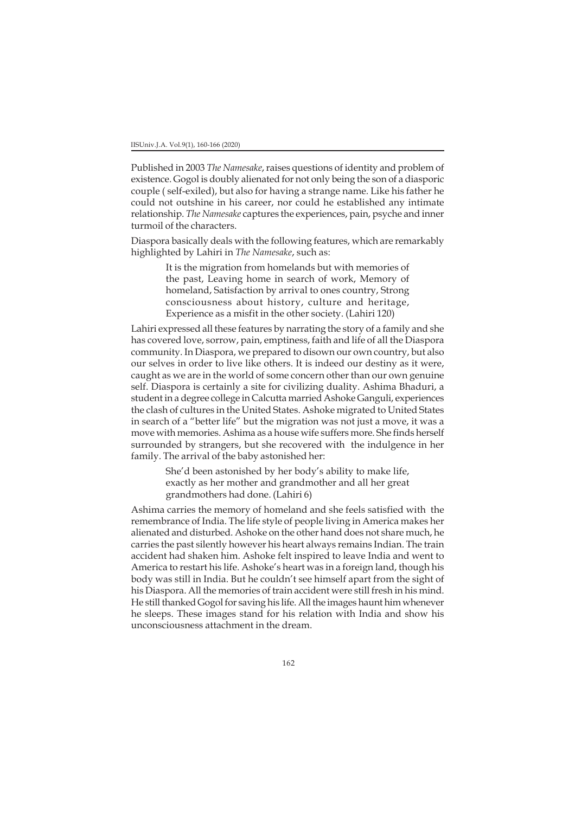Published in 2003 *The Namesake*, raises questions of identity and problem of existence. Gogol is doubly alienated for not only being the son of a diasporic couple ( self-exiled), but also for having a strange name. Like his father he could not outshine in his career, nor could he established any intimate relationship. *The Namesake* captures the experiences, pain, psyche and inner turmoil of the characters.

Diaspora basically deals with the following features, which are remarkably highlighted by Lahiri in *The Namesake*, such as:

> It is the migration from homelands but with memories of the past, Leaving home in search of work, Memory of homeland, Satisfaction by arrival to ones country, Strong consciousness about history, culture and heritage, Experience as a misfit in the other society. (Lahiri 120)

Lahiri expressed all these features by narrating the story of a family and she has covered love, sorrow, pain, emptiness, faith and life of all the Diaspora community. In Diaspora, we prepared to disown our own country, but also our selves in order to live like others. It is indeed our destiny as it were, caught as we are in the world of some concern other than our own genuine self. Diaspora is certainly a site for civilizing duality. Ashima Bhaduri, a student in a degree college in Calcutta married Ashoke Ganguli, experiences the clash of cultures in the United States. Ashoke migrated to United States in search of a "better life" but the migration was not just a move, it was a move with memories. Ashima as a house wife suffers more. She finds herself surrounded by strangers, but she recovered with the indulgence in her family. The arrival of the baby astonished her:

> She'd been astonished by her body's ability to make life, exactly as her mother and grandmother and all her great grandmothers had done. (Lahiri 6)

Ashima carries the memory of homeland and she feels satisfied with the remembrance of India. The life style of people living in America makes her alienated and disturbed. Ashoke on the other hand does not share much, he carries the past silently however his heart always remains Indian. The train accident had shaken him. Ashoke felt inspired to leave India and went to America to restart his life. Ashoke's heart was in a foreign land, though his body was still in India. But he couldn't see himself apart from the sight of his Diaspora. All the memories of train accident were still fresh in his mind. He still thanked Gogol for saving his life. All the images haunt him whenever he sleeps. These images stand for his relation with India and show his unconsciousness attachment in the dream.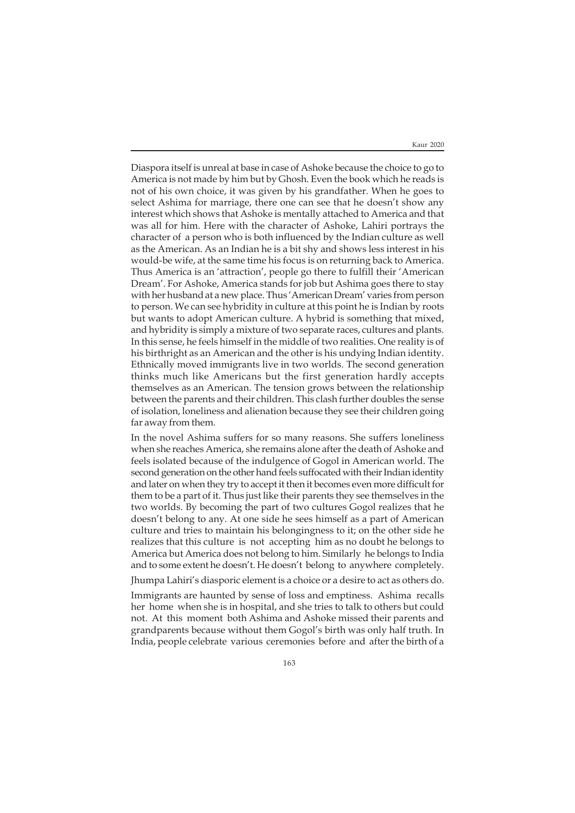Diaspora itself is unreal at base in case of Ashoke because the choice to go to America is not made by him but by Ghosh. Even the book which he reads is not of his own choice, it was given by his grandfather. When he goes to select Ashima for marriage, there one can see that he doesn't show any interest which shows that Ashoke is mentally attached to America and that was all for him. Here with the character of Ashoke, Lahiri portrays the character of a person who is both influenced by the Indian culture as well as the American. As an Indian he is a bit shy and shows less interest in his would-be wife, at the same time his focus is on returning back to America. Thus America is an 'attraction', people go there to fulfill their 'American Dream'. For Ashoke, America stands for job but Ashima goes there to stay with her husband at a new place. Thus 'American Dream' varies from person to person. We can see hybridity in culture at this point he is Indian by roots but wants to adopt American culture. A hybrid is something that mixed, and hybridity is simply a mixture of two separate races, cultures and plants. In this sense, he feels himself in the middle of two realities. One reality is of his birthright as an American and the other is his undying Indian identity. Ethnically moved immigrants live in two worlds. The second generation thinks much like Americans but the first generation hardly accepts themselves as an American. The tension grows between the relationship between the parents and their children. This clash further doubles the sense of isolation, loneliness and alienation because they see their children going far away from them.

In the novel Ashima suffers for so many reasons. She suffers loneliness when she reaches America, she remains alone after the death of Ashoke and feels isolated because of the indulgence of Gogol in American world. The second generation on the other hand feels suffocated with their Indian identity and later on when they try to accept it then it becomes even more difficult for them to be a part of it. Thus just like their parents they see themselves in the two worlds. By becoming the part of two cultures Gogol realizes that he doesn't belong to any. At one side he sees himself as a part of American culture and tries to maintain his belongingness to it; on the other side he realizes that this culture is not accepting him as no doubt he belongs to America but America does not belong to him. Similarly he belongs to India and to some extent he doesn't. He doesn't belong to anywhere completely.

Jhumpa Lahiri's diasporic element is a choice or a desire to act as others do.

Immigrants are haunted by sense of loss and emptiness. Ashima recalls her home when she is in hospital, and she tries to talk to others but could not. At this moment both Ashima and Ashoke missed their parents and grandparents because without them Gogol's birth was only half truth. In India, people celebrate various ceremonies before and after the birth of a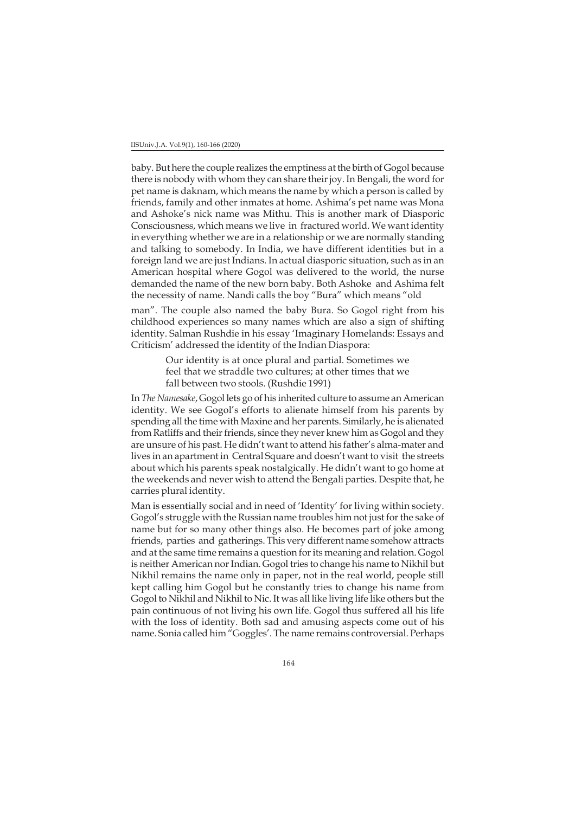baby. But here the couple realizes the emptiness at the birth of Gogol because there is nobody with whom they can share their joy. In Bengali, the word for pet name is daknam, which means the name by which a person is called by friends, family and other inmates at home. Ashima's pet name was Mona and Ashoke's nick name was Mithu. This is another mark of Diasporic Consciousness, which means we live in fractured world. We want identity in everything whether we are in a relationship or we are normally standing and talking to somebody. In India, we have different identities but in a foreign land we are just Indians. In actual diasporic situation, such as in an American hospital where Gogol was delivered to the world, the nurse demanded the name of the new born baby. Both Ashoke and Ashima felt the necessity of name. Nandi calls the boy "Bura" which means "old

man". The couple also named the baby Bura. So Gogol right from his childhood experiences so many names which are also a sign of shifting identity. Salman Rushdie in his essay 'Imaginary Homelands: Essays and Criticism' addressed the identity of the Indian Diaspora:

> Our identity is at once plural and partial. Sometimes we feel that we straddle two cultures; at other times that we fall between two stools. (Rushdie 1991)

In *The Namesake*, Gogol lets go of his inherited culture to assume an American identity. We see Gogol's efforts to alienate himself from his parents by spending all the time with Maxine and her parents. Similarly, he is alienated from Ratliffs and their friends, since they never knew him as Gogol and they are unsure of his past. He didn't want to attend his father's alma-mater and lives in an apartment in Central Square and doesn't want to visit the streets about which his parents speak nostalgically. He didn't want to go home at the weekends and never wish to attend the Bengali parties. Despite that, he carries plural identity.

Man is essentially social and in need of 'Identity' for living within society. Gogol's struggle with the Russian name troubles him not just for the sake of name but for so many other things also. He becomes part of joke among friends, parties and gatherings. This very different name somehow attracts and at the same time remains a question for its meaning and relation. Gogol is neither American nor Indian. Gogol tries to change his name to Nikhil but Nikhil remains the name only in paper, not in the real world, people still kept calling him Gogol but he constantly tries to change his name from Gogol to Nikhil and Nikhil to Nic. It was all like living life like others but the pain continuous of not living his own life. Gogol thus suffered all his life with the loss of identity. Both sad and amusing aspects come out of his name. Sonia called him "Goggles'. The name remains controversial. Perhaps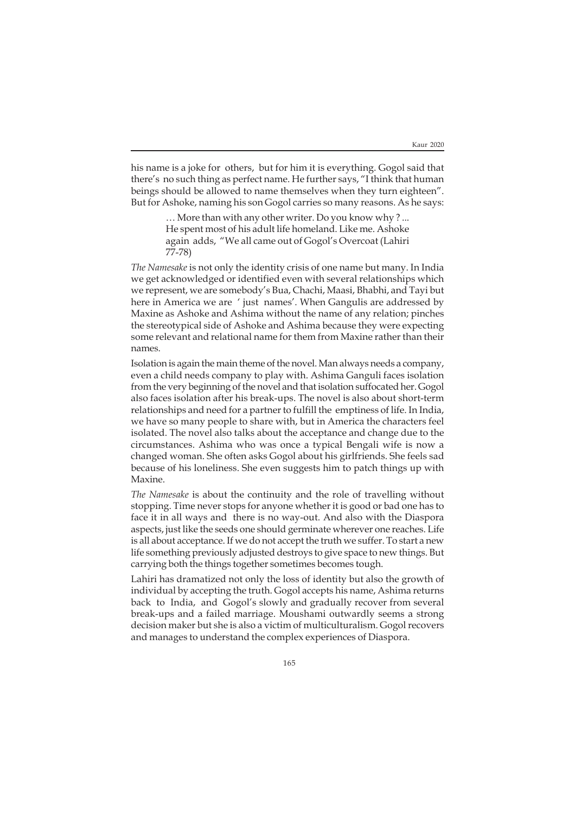his name is a joke for others, but for him it is everything. Gogol said that there's no such thing as perfect name. He further says, "I think that human beings should be allowed to name themselves when they turn eighteen". But for Ashoke, naming his son Gogol carries so many reasons. As he says:

> … More than with any other writer. Do you know why ? ... He spent most of his adult life homeland. Like me. Ashoke again adds, "We all came out of Gogol's Overcoat (Lahiri 77-78)

*The Namesake* is not only the identity crisis of one name but many. In India we get acknowledged or identified even with several relationships which we represent, we are somebody's Bua, Chachi, Maasi, Bhabhi, and Tayi but here in America we are ' just names'. When Gangulis are addressed by Maxine as Ashoke and Ashima without the name of any relation; pinches the stereotypical side of Ashoke and Ashima because they were expecting some relevant and relational name for them from Maxine rather than their names.

Isolation is again the main theme of the novel. Man always needs a company, even a child needs company to play with. Ashima Ganguli faces isolation from the very beginning of the novel and that isolation suffocated her. Gogol also faces isolation after his break-ups. The novel is also about short-term relationships and need for a partner to fulfill the emptiness of life. In India, we have so many people to share with, but in America the characters feel isolated. The novel also talks about the acceptance and change due to the circumstances. Ashima who was once a typical Bengali wife is now a changed woman. She often asks Gogol about his girlfriends. She feels sad because of his loneliness. She even suggests him to patch things up with Maxine.

*The Namesake* is about the continuity and the role of travelling without stopping. Time never stops for anyone whether it is good or bad one has to face it in all ways and there is no way-out. And also with the Diaspora aspects, just like the seeds one should germinate wherever one reaches. Life is all about acceptance. If we do not accept the truth we suffer. To start a new life something previously adjusted destroys to give space to new things. But carrying both the things together sometimes becomes tough.

Lahiri has dramatized not only the loss of identity but also the growth of individual by accepting the truth. Gogol accepts his name, Ashima returns back to India, and Gogol's slowly and gradually recover from several break-ups and a failed marriage. Moushami outwardly seems a strong decision maker but she is also a victim of multiculturalism. Gogol recovers and manages to understand the complex experiences of Diaspora.